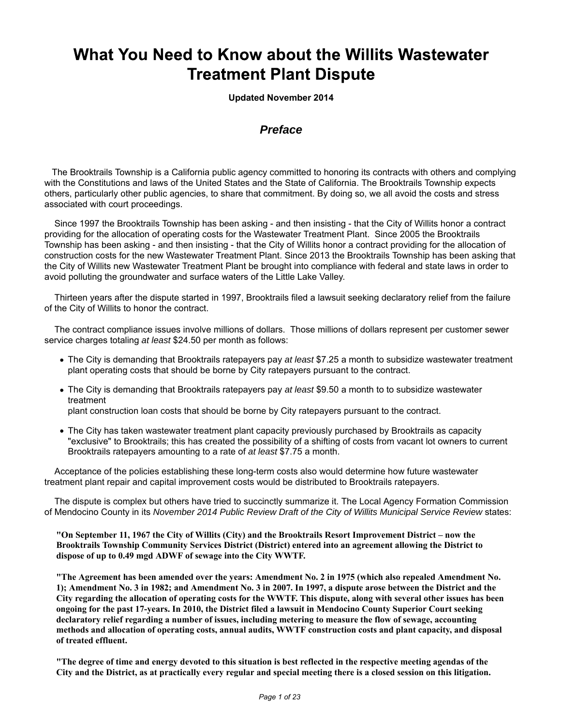# What You Need to Know about the Willits Wastewater **Treatment Plant Dispute**

**Updated November 2014**

# *Preface*

 The Brooktrails Township is a California public agency committed to honoring its contracts with others and complying with the Constitutions and laws of the United States and the State of California. The Brooktrails Township expects others, particularly other public agencies, to share that commitment. By doing so, we all avoid the costs and stress associated with court proceedings.

 Since 1997 the Brooktrails Township has been asking - and then insisting - that the City of Willits honor a contract providing for the allocation of operating costs for the Wastewater Treatment Plant. Since 2005 the Brooktrails Township has been asking - and then insisting - that the City of Willits honor a contract providing for the allocation of construction costs for the new Wastewater Treatment Plant. Since 2013 the Brooktrails Township has been asking that the City of Willits new Wastewater Treatment Plant be brought into compliance with federal and state laws in order to avoid polluting the groundwater and surface waters of the Little Lake Valley.

 Thirteen years after the dispute started in 1997, Brooktrails filed a lawsuit seeking declaratory relief from the failure of the City of Willits to honor the contract.

 The contract compliance issues involve millions of dollars. Those millions of dollars represent per customer sewer service charges totaling *at least* \$24.50 per month as follows:

- The City is demanding that Brooktrails ratepayers pay *at least* \$7.25 a month to subsidize wastewater treatment plant operating costs that should be borne by City ratepayers pursuant to the contract.
- The City is demanding that Brooktrails ratepayers pay *at least* \$9.50 a month to to subsidize wastewater treatment plant construction loan costs that should be borne by City ratepayers pursuant to the contract.
- The City has taken wastewater treatment plant capacity previously purchased by Brooktrails as capacity "exclusive" to Brooktrails; this has created the possibility of a shifting of costs from vacant lot owners to current Brooktrails ratepayers amounting to a rate of *at least* \$7.75 a month.

 Acceptance of the policies establishing these long-term costs also would determine how future wastewater treatment plant repair and capital improvement costs would be distributed to Brooktrails ratepayers.

 The dispute is complex but others have tried to succinctly summarize it. The Local Agency Formation Commission of Mendocino County in its *November 2014 Public Review Draft of the City of Willits Municipal Service Review* states:

**"On September 11, 1967 the City of Willits (City) and the Brooktrails Resort Improvement District – now the Brooktrails Township Community Services District (District) entered into an agreement allowing the District to dispose of up to 0.49 mgd ADWF of sewage into the City WWTF.**

**"The Agreement has been amended over the years: Amendment No. 2 in 1975 (which also repealed Amendment No. 1); Amendment No. 3 in 1982; and Amendment No. 3 in 2007. In 1997, a dispute arose between the District and the City regarding the allocation of operating costs for the WWTF. This dispute, along with several other issues has been ongoing for the past 17-years. In 2010, the District filed a lawsuit in Mendocino County Superior Court seeking declaratory relief regarding a number of issues, including metering to measure the flow of sewage, accounting methods and allocation of operating costs, annual audits, WWTF construction costs and plant capacity, and disposal of treated effluent.**

**"The degree of time and energy devoted to this situation is best reflected in the respective meeting agendas of the City and the District, as at practically every regular and special meeting there is a closed session on this litigation.**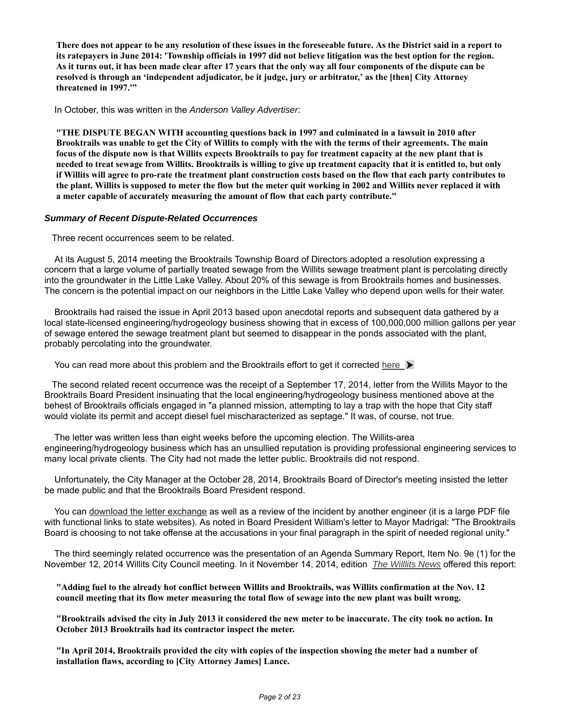**There does not appear to be any resolution of these issues in the foreseeable future. As the District said in a report to its ratepayers in June 2014: 'Township officials in 1997 did not believe litigation was the best option for the region. As it turns out, it has been made clear after 17 years that the only way all four components of the dispute can be resolved is through an 'independent adjudicator, be it judge, jury or arbitrator,' as the [then] City Attorney threatened in 1997.'"**

In October, this was written in the *Anderson Valley Advertiser*:

**"THE DISPUTE BEGAN WITH accounting questions back in 1997 and culminated in a lawsuit in 2010 after Brooktrails was unable to get the City of Willits to comply with the with the terms of their agreements. The main focus of the dispute now is that Willits expects Brooktrails to pay for treatment capacity at the new plant that is needed to treat sewage from Willits. Brooktrails is willing to give up treatment capacity that it is entitled to, but only if Willits will agree to pro-rate the treatment plant construction costs based on the flow that each party contributes to the plant. Willits is supposed to meter the flow but the meter quit working in 2002 and Willits never replaced it with a meter capable of accurately measuring the amount of flow that each party contribute."**

#### *Summary of Recent Dispute-Related Occurrences*

Three recent occurrences seem to be related.

 At its August 5, 2014 meeting the Brooktrails Township Board of Directors adopted a resolution expressing a concern that a large volume of partially treated sewage from the Willits sewage treatment plant is percolating directly into the groundwater in the Little Lake Valley. About 20% of this sewage is from Brooktrails homes and businesses. The concern is the potential impact on our neighbors in the Little Lake Valley who depend upon wells for their water.

 Brooktrails had raised the issue in April 2013 based upon anecdotal reports and subsequent data gathered by a local state-licensed engineering/hydrogeology business showing that in excess of 100,000,000 million gallons per year of sewage entered the sewage treatment plant but seemed to disappear in the ponds associated with the plant, probably percolating into the groundwater.

You can read more about this problem and the Brooktrails effort to get it corrected here  $\triangleright$ 

 The second related recent occurrence was the receipt of a September 17, 2014, letter from the Willits Mayor to the Brooktrails Board President insinuating that the local engineering/hydrogeology business mentioned above at the behest of Brooktrails officials engaged in "a planned mission, attempting to lay a trap with the hope that City staff would violate its permit and accept diesel fuel mischaracterized as septage." It was, of course, not true.

 The letter was written less than eight weeks before the upcoming election. The Willits-area engineering/hydrogeology business which has an unsullied reputation is providing professional engineering services to many local private clients. The City had not made the letter public. Brooktrails did not respond.

 Unfortunately, the City Manager at the October 28, 2014, Brooktrails Board of Director's meeting insisted the letter be made public and that the Brooktrails Board President respond.

 You can download the letter exchange as well as a review of the incident by another engineer (it is a large PDF file with functional links to state websites). As noted in Board President William's letter to Mayor Madrigal: "The Brooktrails Board is choosing to not take offense at the accusations in your final paragraph in the spirit of needed regional unity."

 The third seemingly related occurrence was the presentation of an Agenda Summary Report, Item No. 9e (1) for the November 12, 2014 Willits City Council meeting. In it November 14, 2014, edition *The Willlits News* offered this report:

**"Adding fuel to the already hot conflict between Willits and Brooktrails, was Willits confirmation at the Nov. 12 council meeting that its flow meter measuring the total flow of sewage into the new plant was built wrong.**

**"Brooktrails advised the city in July 2013 it considered the new meter to be inaccurate. The city took no action. In October 2013 Brooktrails had its contractor inspect the meter.**

**"In April 2014, Brooktrails provided the city with copies of the inspection showing the meter had a number of installation flaws, according to [City Attorney James] Lance.**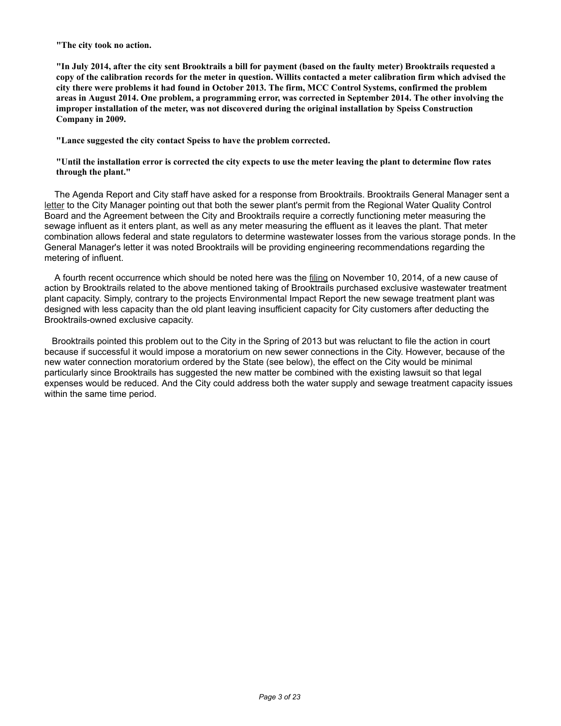**"The city took no action.**

**"In July 2014, after the city sent Brooktrails a bill for payment (based on the faulty meter) Brooktrails requested a copy of the calibration records for the meter in question. Willits contacted a meter calibration firm which advised the city there were problems it had found in October 2013. The firm, MCC Control Systems, confirmed the problem areas in August 2014. One problem, a programming error, was corrected in September 2014. The other involving the improper installation of the meter, was not discovered during the original installation by Speiss Construction Company in 2009.**

**"Lance suggested the city contact Speiss to have the problem corrected.**

**"Until the installation error is corrected the city expects to use the meter leaving the plant to determine flow rates through the plant."**

 The Agenda Report and City staff have asked for a response from Brooktrails. Brooktrails General Manager sent a letter to the City Manager pointing out that both the sewer plant's permit from the Regional Water Quality Control Board and the Agreement between the City and Brooktrails require a correctly functioning meter measuring the sewage influent as it enters plant, as well as any meter measuring the effluent as it leaves the plant. That meter combination allows federal and state regulators to determine wastewater losses from the various storage ponds. In the General Manager's letter it was noted Brooktrails will be providing engineering recommendations regarding the metering of influent.

 A fourth recent occurrence which should be noted here was the filing on November 10, 2014, of a new cause of action by Brooktrails related to the above mentioned taking of Brooktrails purchased exclusive wastewater treatment plant capacity. Simply, contrary to the projects Environmental Impact Report the new sewage treatment plant was designed with less capacity than the old plant leaving insufficient capacity for City customers after deducting the Brooktrails-owned exclusive capacity.

 Brooktrails pointed this problem out to the City in the Spring of 2013 but was reluctant to file the action in court because if successful it would impose a moratorium on new sewer connections in the City. However, because of the new water connection moratorium ordered by the State (see below), the effect on the City would be minimal particularly since Brooktrails has suggested the new matter be combined with the existing lawsuit so that legal expenses would be reduced. And the City could address both the water supply and sewage treatment capacity issues within the same time period.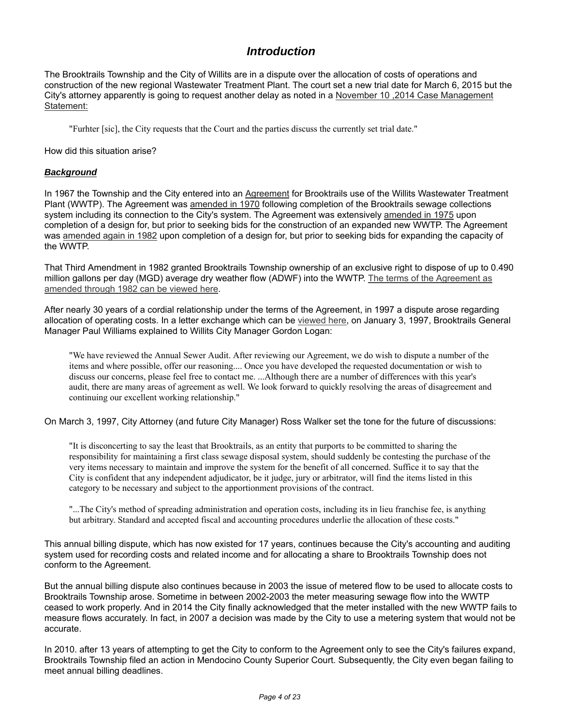# *Introduction*

The Brooktrails Township and the City of Willits are in a dispute over the allocation of costs of operations and construction of the new regional Wastewater Treatment Plant. The court set a new trial date for March 6, 2015 but the City's attorney apparently is going to request another delay as noted in a November 10 ,2014 Case Management Statement:

"Furhter [sic], the City requests that the Court and the parties discuss the currently set trial date."

How did this situation arise?

### *Background*

In 1967 the Township and the City entered into an Agreement for Brooktrails use of the Willits Wastewater Treatment Plant (WWTP). The Agreement was amended in 1970 following completion of the Brooktrails sewage collections system including its connection to the City's system. The Agreement was extensively amended in 1975 upon completion of a design for, but prior to seeking bids for the construction of an expanded new WWTP. The Agreement was amended again in 1982 upon completion of a design for, but prior to seeking bids for expanding the capacity of the WWTP.

That Third Amendment in 1982 granted Brooktrails Township ownership of an exclusive right to dispose of up to 0.490 million gallons per day (MGD) average dry weather flow (ADWF) into the WWTP. The terms of the Agreement as amended through 1982 can be viewed here.

After nearly 30 years of a cordial relationship under the terms of the Agreement, in 1997 a dispute arose regarding allocation of operating costs. In a letter exchange which can be viewed here, on January 3, 1997, Brooktrails General Manager Paul Williams explained to Willits City Manager Gordon Logan:

"We have reviewed the Annual Sewer Audit. After reviewing our Agreement, we do wish to dispute a number of the items and where possible, offer our reasoning.... Once you have developed the requested documentation or wish to discuss our concerns, please feel free to contact me. ...Although there are a number of differences with this year's audit, there are many areas of agreement as well. We look forward to quickly resolving the areas of disagreement and continuing our excellent working relationship."

On March 3, 1997, City Attorney (and future City Manager) Ross Walker set the tone for the future of discussions:

"It is disconcerting to say the least that Brooktrails, as an entity that purports to be committed to sharing the responsibility for maintaining a first class sewage disposal system, should suddenly be contesting the purchase of the very items necessary to maintain and improve the system for the benefit of all concerned. Suffice it to say that the City is confident that any independent adjudicator, be it judge, jury or arbitrator, will find the items listed in this category to be necessary and subject to the apportionment provisions of the contract.

"...The City's method of spreading administration and operation costs, including its in lieu franchise fee, is anything but arbitrary. Standard and accepted fiscal and accounting procedures underlie the allocation of these costs."

This annual billing dispute, which has now existed for 17 years, continues because the City's accounting and auditing system used for recording costs and related income and for allocating a share to Brooktrails Township does not conform to the Agreement.

But the annual billing dispute also continues because in 2003 the issue of metered flow to be used to allocate costs to Brooktrails Township arose. Sometime in between 2002-2003 the meter measuring sewage flow into the WWTP ceased to work properly. And in 2014 the City finally acknowledged that the meter installed with the new WWTP fails to measure flows accurately. In fact, in 2007 a decision was made by the City to use a metering system that would not be accurate.

In 2010. after 13 years of attempting to get the City to conform to the Agreement only to see the City's failures expand, Brooktrails Township filed an action in Mendocino County Superior Court. Subsequently, the City even began failing to meet annual billing deadlines.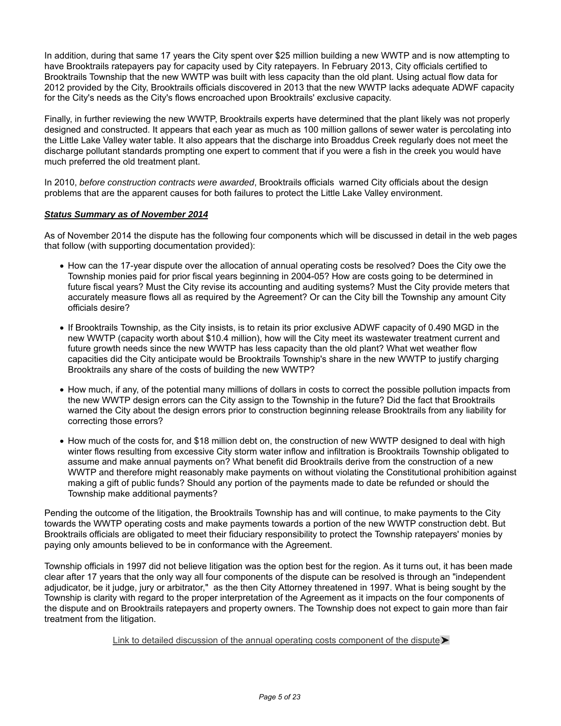In addition, during that same 17 years the City spent over \$25 million building a new WWTP and is now attempting to have Brooktrails ratepayers pay for capacity used by City ratepayers. In February 2013, City officials certified to Brooktrails Township that the new WWTP was built with less capacity than the old plant. Using actual flow data for 2012 provided by the City, Brooktrails officials discovered in 2013 that the new WWTP lacks adequate ADWF capacity for the City's needs as the City's flows encroached upon Brooktrails' exclusive capacity.

Finally, in further reviewing the new WWTP, Brooktrails experts have determined that the plant likely was not properly designed and constructed. It appears that each year as much as 100 million gallons of sewer water is percolating into the Little Lake Valley water table. It also appears that the discharge into Broaddus Creek regularly does not meet the discharge pollutant standards prompting one expert to comment that if you were a fish in the creek you would have much preferred the old treatment plant.

In 2010, *before construction contracts were awarded*, Brooktrails officials warned City officials about the design problems that are the apparent causes for both failures to protect the Little Lake Valley environment.

### *Status Summary as of November 2014*

As of November 2014 the dispute has the following four components which will be discussed in detail in the web pages that follow (with supporting documentation provided):

- How can the 17-year dispute over the allocation of annual operating costs be resolved? Does the City owe the Township monies paid for prior fiscal years beginning in 2004-05? How are costs going to be determined in future fiscal years? Must the City revise its accounting and auditing systems? Must the City provide meters that accurately measure flows all as required by the Agreement? Or can the City bill the Township any amount City officials desire?
- If Brooktrails Township, as the City insists, is to retain its prior exclusive ADWF capacity of 0.490 MGD in the new WWTP (capacity worth about \$10.4 million), how will the City meet its wastewater treatment current and future growth needs since the new WWTP has less capacity than the old plant? What wet weather flow capacities did the City anticipate would be Brooktrails Township's share in the new WWTP to justify charging Brooktrails any share of the costs of building the new WWTP?
- How much, if any, of the potential many millions of dollars in costs to correct the possible pollution impacts from the new WWTP design errors can the City assign to the Township in the future? Did the fact that Brooktrails warned the City about the design errors prior to construction beginning release Brooktrails from any liability for correcting those errors?
- How much of the costs for, and \$18 million debt on, the construction of new WWTP designed to deal with high winter flows resulting from excessive City storm water inflow and infiltration is Brooktrails Township obligated to assume and make annual payments on? What benefit did Brooktrails derive from the construction of a new WWTP and therefore might reasonably make payments on without violating the Constitutional prohibition against making a gift of public funds? Should any portion of the payments made to date be refunded or should the Township make additional payments?

Pending the outcome of the litigation, the Brooktrails Township has and will continue, to make payments to the City towards the WWTP operating costs and make payments towards a portion of the new WWTP construction debt. But Brooktrails officials are obligated to meet their fiduciary responsibility to protect the Township ratepayers' monies by paying only amounts believed to be in conformance with the Agreement.

Township officials in 1997 did not believe litigation was the option best for the region. As it turns out, it has been made clear after 17 years that the only way all four components of the dispute can be resolved is through an "independent adjudicator, be it judge, jury or arbitrator," as the then City Attorney threatened in 1997. What is being sought by the Township is clarity with regard to the proper interpretation of the Agreement as it impacts on the four components of the dispute and on Brooktrails ratepayers and property owners. The Township does not expect to gain more than fair treatment from the litigation.

#### Link to detailed discussion of the annual operating costs component of the dispute  $\blacktriangleright$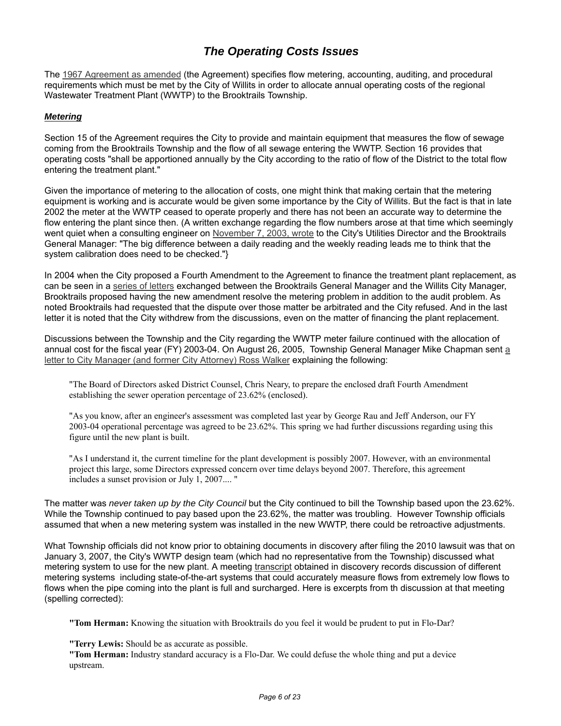# *The Operating Costs Issues*

The 1967 Agreement as amended (the Agreement) specifies flow metering, accounting, auditing, and procedural requirements which must be met by the City of Willits in order to allocate annual operating costs of the regional Wastewater Treatment Plant (WWTP) to the Brooktrails Township.

### *Metering*

Section 15 of the Agreement requires the City to provide and maintain equipment that measures the flow of sewage coming from the Brooktrails Township and the flow of all sewage entering the WWTP. Section 16 provides that operating costs "shall be apportioned annually by the City according to the ratio of flow of the District to the total flow entering the treatment plant."

Given the importance of metering to the allocation of costs, one might think that making certain that the metering equipment is working and is accurate would be given some importance by the City of Willits. But the fact is that in late 2002 the meter at the WWTP ceased to operate properly and there has not been an accurate way to determine the flow entering the plant since then. (A written exchange regarding the flow numbers arose at that time which seemingly went quiet when a consulting engineer on November 7, 2003, wrote to the City's Utilities Director and the Brooktrails General Manager: "The big difference between a daily reading and the weekly reading leads me to think that the system calibration does need to be checked."}

In 2004 when the City proposed a Fourth Amendment to the Agreement to finance the treatment plant replacement, as can be seen in a series of letters exchanged between the Brooktrails General Manager and the Willits City Manager, Brooktrails proposed having the new amendment resolve the metering problem in addition to the audit problem. As noted Brooktrails had requested that the dispute over those matter be arbitrated and the City refused. And in the last letter it is noted that the City withdrew from the discussions, even on the matter of financing the plant replacement.

Discussions between the Township and the City regarding the WWTP meter failure continued with the allocation of annual cost for the fiscal year (FY) 2003-04. On August 26, 2005, Township General Manager Mike Chapman sent a letter to City Manager (and former City Attorney) Ross Walker explaining the following:

"The Board of Directors asked District Counsel, Chris Neary, to prepare the enclosed draft Fourth Amendment establishing the sewer operation percentage of 23.62% (enclosed).

"As you know, after an engineer's assessment was completed last year by George Rau and Jeff Anderson, our FY 2003-04 operational percentage was agreed to be 23.62%. This spring we had further discussions regarding using this figure until the new plant is built.

"As I understand it, the current timeline for the plant development is possibly 2007. However, with an environmental project this large, some Directors expressed concern over time delays beyond 2007. Therefore, this agreement includes a sunset provision or July 1, 2007.... "

The matter was *never taken up by the City Council* but the City continued to bill the Township based upon the 23.62%. While the Township continued to pay based upon the 23.62%, the matter was troubling. However Township officials assumed that when a new metering system was installed in the new WWTP, there could be retroactive adjustments.

What Township officials did not know prior to obtaining documents in discovery after filing the 2010 lawsuit was that on January 3, 2007, the City's WWTP design team (which had no representative from the Township) discussed what metering system to use for the new plant. A meeting transcript obtained in discovery records discussion of different metering systems including state-of-the-art systems that could accurately measure flows from extremely low flows to flows when the pipe coming into the plant is full and surcharged. Here is excerpts from th discussion at that meeting (spelling corrected):

**"Tom Herman:** Knowing the situation with Brooktrails do you feel it would be prudent to put in Flo-Dar?

**"Terry Lewis:** Should be as accurate as possible.

**"Tom Herman:** Industry standard accuracy is a Flo-Dar. We could defuse the whole thing and put a device upstream.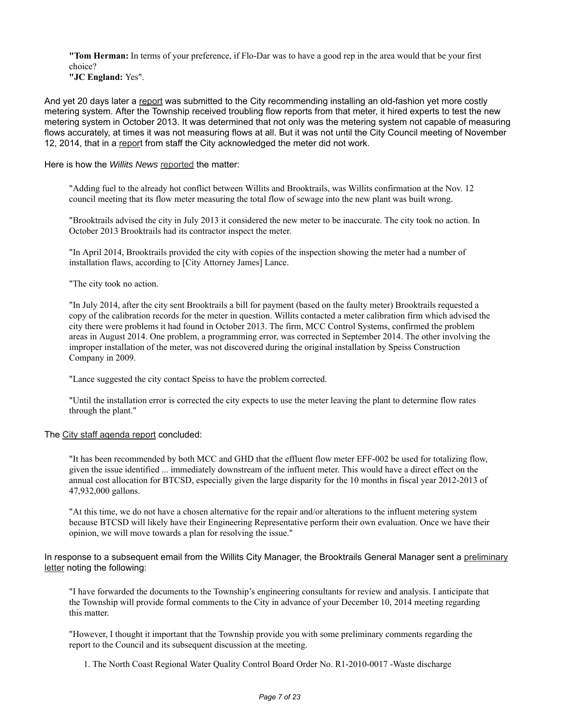**"Tom Herman:** In terms of your preference, if Flo-Dar was to have a good rep in the area would that be your first choice?

**"JC England:** Yes".

And yet 20 days later a report was submitted to the City recommending installing an old-fashion yet more costly metering system. After the Township received troubling flow reports from that meter, it hired experts to test the new metering system in October 2013. It was determined that not only was the metering system not capable of measuring flows accurately, at times it was not measuring flows at all. But it was not until the City Council meeting of November 12, 2014, that in a report from staff the City acknowledged the meter did not work.

Here is how the *Willits News* reported the matter:

"Adding fuel to the already hot conflict between Willits and Brooktrails, was Willits confirmation at the Nov. 12 council meeting that its flow meter measuring the total flow of sewage into the new plant was built wrong.

"Brooktrails advised the city in July 2013 it considered the new meter to be inaccurate. The city took no action. In October 2013 Brooktrails had its contractor inspect the meter.

"In April 2014, Brooktrails provided the city with copies of the inspection showing the meter had a number of installation flaws, according to [City Attorney James] Lance.

"The city took no action.

"In July 2014, after the city sent Brooktrails a bill for payment (based on the faulty meter) Brooktrails requested a copy of the calibration records for the meter in question. Willits contacted a meter calibration firm which advised the city there were problems it had found in October 2013. The firm, MCC Control Systems, confirmed the problem areas in August 2014. One problem, a programming error, was corrected in September 2014. The other involving the improper installation of the meter, was not discovered during the original installation by Speiss Construction Company in 2009.

"Lance suggested the city contact Speiss to have the problem corrected.

"Until the installation error is corrected the city expects to use the meter leaving the plant to determine flow rates through the plant."

#### The City staff agenda report concluded:

"It has been recommended by both MCC and GHD that the effluent flow meter EFF-002 be used for totalizing flow, given the issue identified ... immediately downstream of the influent meter. This would have a direct effect on the annual cost allocation for BTCSD, especially given the large disparity for the 10 months in fiscal year 2012-2013 of 47,932,000 gallons.

"At this time, we do not have a chosen alternative for the repair and/or alterations to the influent metering system because BTCSD will likely have their Engineering Representative perform their own evaluation. Once we have their opinion, we will move towards a plan for resolving the issue."

In response to a subsequent email from the Willits City Manager, the Brooktrails General Manager sent a preliminary letter noting the following:

"I have forwarded the documents to the Township's engineering consultants for review and analysis. I anticipate that the Township will provide formal comments to the City in advance of your December 10, 2014 meeting regarding this matter.

"However, I thought it important that the Township provide you with some preliminary comments regarding the report to the Council and its subsequent discussion at the meeting.

1. The North Coast Regional Water Quality Control Board Order No. R1-2010-0017 -Waste discharge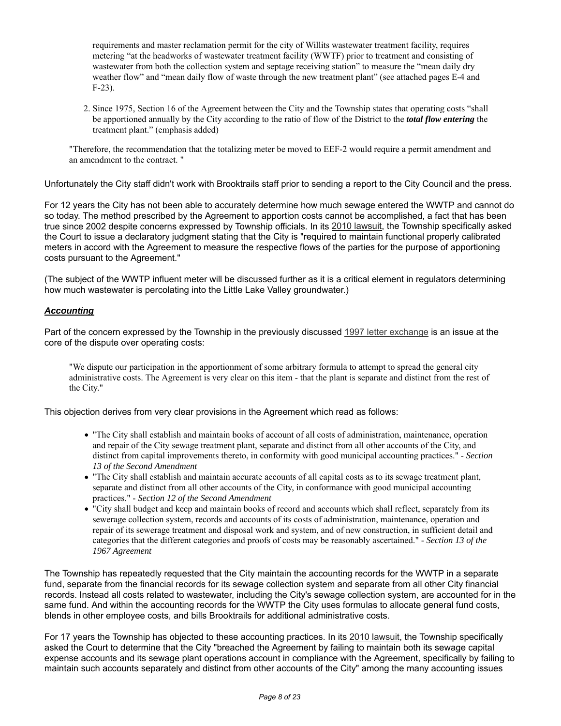requirements and master reclamation permit for the city of Willits wastewater treatment facility, requires metering "at the headworks of wastewater treatment facility (WWTF) prior to treatment and consisting of wastewater from both the collection system and septage receiving station" to measure the "mean daily dry weather flow" and "mean daily flow of waste through the new treatment plant" (see attached pages E-4 and F-23).

2. Since 1975, Section 16 of the Agreement between the City and the Township states that operating costs "shall be apportioned annually by the City according to the ratio of flow of the District to the *total flow entering* the treatment plant." (emphasis added)

"Therefore, the recommendation that the totalizing meter be moved to EEF-2 would require a permit amendment and an amendment to the contract. "

Unfortunately the City staff didn't work with Brooktrails staff prior to sending a report to the City Council and the press.

For 12 years the City has not been able to accurately determine how much sewage entered the WWTP and cannot do so today. The method prescribed by the Agreement to apportion costs cannot be accomplished, a fact that has been true since 2002 despite concerns expressed by Township officials. In its 2010 lawsuit, the Township specifically asked the Court to issue a declaratory judgment stating that the City is "required to maintain functional properly calibrated meters in accord with the Agreement to measure the respective flows of the parties for the purpose of apportioning costs pursuant to the Agreement."

(The subject of the WWTP influent meter will be discussed further as it is a critical element in regulators determining how much wastewater is percolating into the Little Lake Valley groundwater.)

### *Accounting*

Part of the concern expressed by the Township in the previously discussed 1997 letter exchange is an issue at the core of the dispute over operating costs:

"We dispute our participation in the apportionment of some arbitrary formula to attempt to spread the general city administrative costs. The Agreement is very clear on this item - that the plant is separate and distinct from the rest of the City."

This objection derives from very clear provisions in the Agreement which read as follows:

- "The City shall establish and maintain books of account of all costs of administration, maintenance, operation and repair of the City sewage treatment plant, separate and distinct from all other accounts of the City, and distinct from capital improvements thereto, in conformity with good municipal accounting practices." - *Section 13 of the Second Amendment*
- "The City shall establish and maintain accurate accounts of all capital costs as to its sewage treatment plant, separate and distinct from all other accounts of the City, in conformance with good municipal accounting practices." - *Section 12 of the Second Amendment*
- "City shall budget and keep and maintain books of record and accounts which shall reflect, separately from its sewerage collection system, records and accounts of its costs of administration, maintenance, operation and repair of its sewerage treatment and disposal work and system, and of new construction, in sufficient detail and categories that the different categories and proofs of costs may be reasonably ascertained." - *Section 13 of the 1967 Agreement*

The Township has repeatedly requested that the City maintain the accounting records for the WWTP in a separate fund, separate from the financial records for its sewage collection system and separate from all other City financial records. Instead all costs related to wastewater, including the City's sewage collection system, are accounted for in the same fund. And within the accounting records for the WWTP the City uses formulas to allocate general fund costs, blends in other employee costs, and bills Brooktrails for additional administrative costs.

For 17 years the Township has objected to these accounting practices. In its 2010 lawsuit, the Township specifically asked the Court to determine that the City "breached the Agreement by failing to maintain both its sewage capital expense accounts and its sewage plant operations account in compliance with the Agreement, specifically by failing to maintain such accounts separately and distinct from other accounts of the City" among the many accounting issues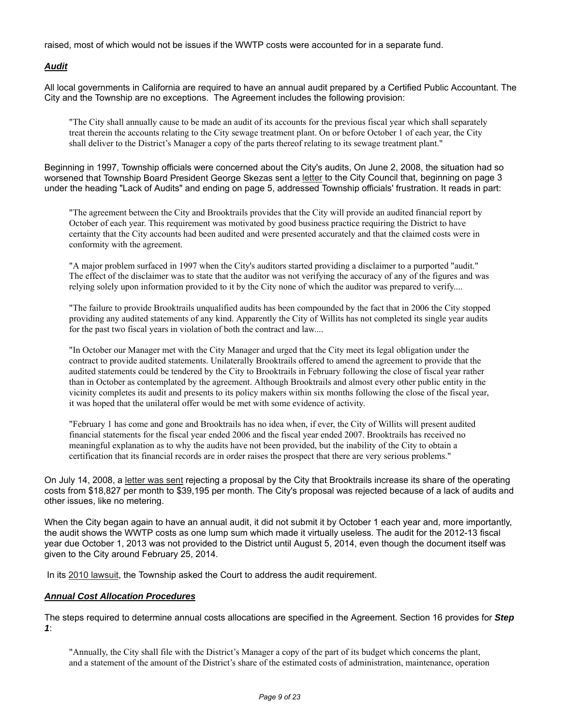raised, most of which would not be issues if the WWTP costs were accounted for in a separate fund.

### *Audit*

All local governments in California are required to have an annual audit prepared by a Certified Public Accountant. The City and the Township are no exceptions. The Agreement includes the following provision:

"The City shall annually cause to be made an audit of its accounts for the previous fiscal year which shall separately treat therein the accounts relating to the City sewage treatment plant. On or before October 1 of each year, the City shall deliver to the District's Manager a copy of the parts thereof relating to its sewage treatment plant."

Beginning in 1997, Township officials were concerned about the City's audits, On June 2, 2008, the situation had so worsened that Township Board President George Skezas sent a letter to the City Council that, beginning on page 3 under the heading "Lack of Audits" and ending on page 5, addressed Township officials' frustration. It reads in part:

"The agreement between the City and Brooktrails provides that the City will provide an audited financial report by October of each year. This requirement was motivated by good business practice requiring the District to have certainty that the City accounts had been audited and were presented accurately and that the claimed costs were in conformity with the agreement.

"A major problem surfaced in 1997 when the City's auditors started providing a disclaimer to a purported "audit." The effect of the disclaimer was to state that the auditor was not verifying the accuracy of any of the figures and was relying solely upon information provided to it by the City none of which the auditor was prepared to verify....

"The failure to provide Brooktrails unqualified audits has been compounded by the fact that in 2006 the City stopped providing any audited statements of any kind. Apparently the City of Willits has not completed its single year audits for the past two fiscal years in violation of both the contract and law....

"In October our Manager met with the City Manager and urged that the City meet its legal obligation under the contract to provide audited statements. Unilaterally Brooktrails offered to amend the agreement to provide that the audited statements could be tendered by the City to Brooktrails in February following the close of fiscal year rather than in October as contemplated by the agreement. Although Brooktrails and almost every other public entity in the vicinity completes its audit and presents to its policy makers within six months following the close of the fiscal year, it was hoped that the unilateral offer would be met with some evidence of activity.

"February 1 has come and gone and Brooktrails has no idea when, if ever, the City of Willits will present audited financial statements for the fiscal year ended 2006 and the fiscal year ended 2007. Brooktrails has received no meaningful explanation as to why the audits have not been provided, but the inability of the City to obtain a certification that its financial records are in order raises the prospect that there are very serious problems."

On July 14, 2008, a letter was sent rejecting a proposal by the City that Brooktrails increase its share of the operating costs from \$18,827 per month to \$39,195 per month. The City's proposal was rejected because of a lack of audits and other issues, like no metering.

When the City began again to have an annual audit, it did not submit it by October 1 each year and, more importantly, the audit shows the WWTP costs as one lump sum which made it virtually useless. The audit for the 2012-13 fiscal year due October 1, 2013 was not provided to the District until August 5, 2014, even though the document itself was given to the City around February 25, 2014.

In its 2010 lawsuit, the Township asked the Court to address the audit requirement.

#### *Annual Cost Allocation Procedures*

The steps required to determine annual costs allocations are specified in the Agreement. Section 16 provides for *Step 1*:

"Annually, the City shall file with the District's Manager a copy of the part of its budget which concerns the plant, and a statement of the amount of the District's share of the estimated costs of administration, maintenance, operation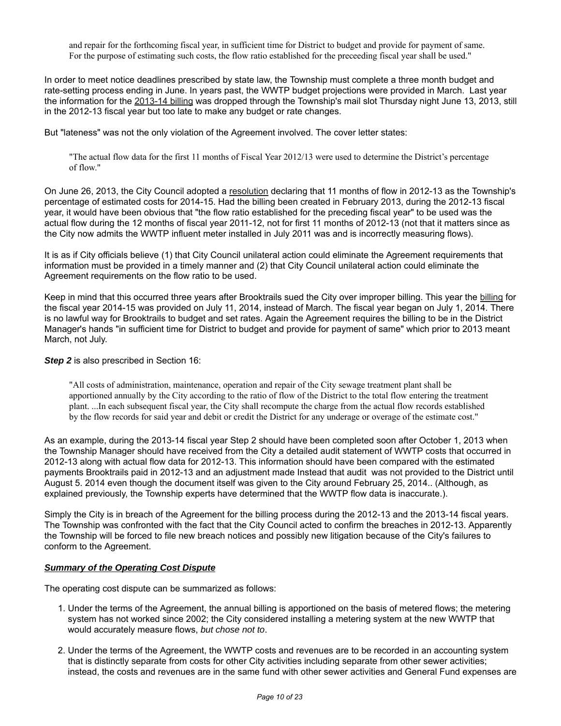and repair for the forthcoming fiscal year, in sufficient time for District to budget and provide for payment of same. For the purpose of estimating such costs, the flow ratio established for the preceeding fiscal year shall be used."

In order to meet notice deadlines prescribed by state law, the Township must complete a three month budget and rate-setting process ending in June. In years past, the WWTP budget projections were provided in March. Last year the information for the 2013-14 billing was dropped through the Township's mail slot Thursday night June 13, 2013, still in the 2012-13 fiscal year but too late to make any budget or rate changes.

But "lateness" was not the only violation of the Agreement involved. The cover letter states:

"The actual flow data for the first 11 months of Fiscal Year 2012/13 were used to determine the District's percentage of flow."

On June 26, 2013, the City Council adopted a resolution declaring that 11 months of flow in 2012-13 as the Township's percentage of estimated costs for 2014-15. Had the billing been created in February 2013, during the 2012-13 fiscal year, it would have been obvious that "the flow ratio established for the preceding fiscal year" to be used was the actual flow during the 12 months of fiscal year 2011-12, not for first 11 months of 2012-13 (not that it matters since as the City now admits the WWTP influent meter installed in July 2011 was and is incorrectly measuring flows).

It is as if City officials believe (1) that City Council unilateral action could eliminate the Agreement requirements that information must be provided in a timely manner and (2) that City Council unilateral action could eliminate the Agreement requirements on the flow ratio to be used.

Keep in mind that this occurred three years after Brooktrails sued the City over improper billing. This year the billing for the fiscal year 2014-15 was provided on July 11, 2014, instead of March. The fiscal year began on July 1, 2014. There is no lawful way for Brooktrails to budget and set rates. Again the Agreement requires the billing to be in the District Manager's hands "in sufficient time for District to budget and provide for payment of same" which prior to 2013 meant March, not July.

#### **Step 2** is also prescribed in Section 16:

"All costs of administration, maintenance, operation and repair of the City sewage treatment plant shall be apportioned annually by the City according to the ratio of flow of the District to the total flow entering the treatment plant. ...In each subsequent fiscal year, the City shall recompute the charge from the actual flow records established by the flow records for said year and debit or credit the District for any underage or overage of the estimate cost."

As an example, during the 2013-14 fiscal year Step 2 should have been completed soon after October 1, 2013 when the Township Manager should have received from the City a detailed audit statement of WWTP costs that occurred in 2012-13 along with actual flow data for 2012-13. This information should have been compared with the estimated payments Brooktrails paid in 2012-13 and an adjustment made Instead that audit was not provided to the District until August 5. 2014 even though the document itself was given to the City around February 25, 2014.. (Although, as explained previously, the Township experts have determined that the WWTP flow data is inaccurate.).

Simply the City is in breach of the Agreement for the billing process during the 2012-13 and the 2013-14 fiscal years. The Township was confronted with the fact that the City Council acted to confirm the breaches in 2012-13. Apparently the Township will be forced to file new breach notices and possibly new litigation because of the City's failures to conform to the Agreement.

#### *Summary of the Operating Cost Dispute*

The operating cost dispute can be summarized as follows:

- 1. Under the terms of the Agreement, the annual billing is apportioned on the basis of metered flows; the metering system has not worked since 2002; the City considered installing a metering system at the new WWTP that would accurately measure flows, *but chose not to*.
- 2. Under the terms of the Agreement, the WWTP costs and revenues are to be recorded in an accounting system that is distinctly separate from costs for other City activities including separate from other sewer activities; instead, the costs and revenues are in the same fund with other sewer activities and General Fund expenses are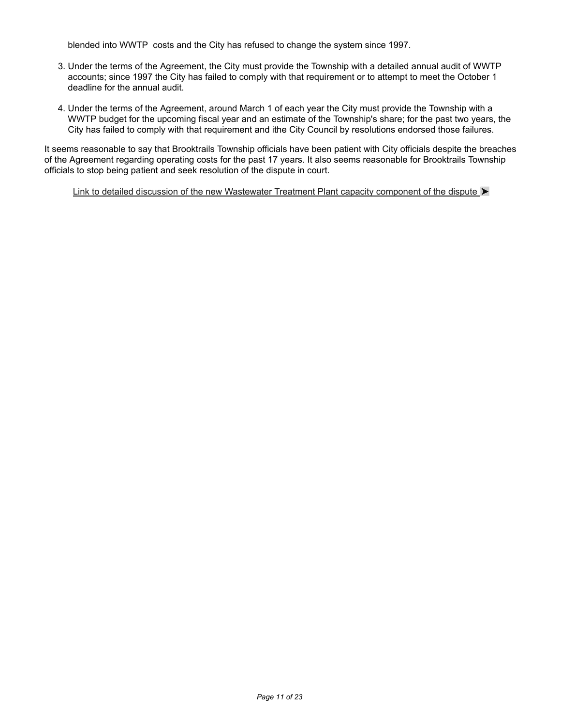blended into WWTP costs and the City has refused to change the system since 1997.

- 3. Under the terms of the Agreement, the City must provide the Township with a detailed annual audit of WWTP accounts; since 1997 the City has failed to comply with that requirement or to attempt to meet the October 1 deadline for the annual audit.
- 4. Under the terms of the Agreement, around March 1 of each year the City must provide the Township with a WWTP budget for the upcoming fiscal year and an estimate of the Township's share; for the past two years, the City has failed to comply with that requirement and ithe City Council by resolutions endorsed those failures.

It seems reasonable to say that Brooktrails Township officials have been patient with City officials despite the breaches of the Agreement regarding operating costs for the past 17 years. It also seems reasonable for Brooktrails Township officials to stop being patient and seek resolution of the dispute in court.

Link to detailed discussion of the new Wastewater Treatment Plant capacity component of the dispute  $\blacktriangleright$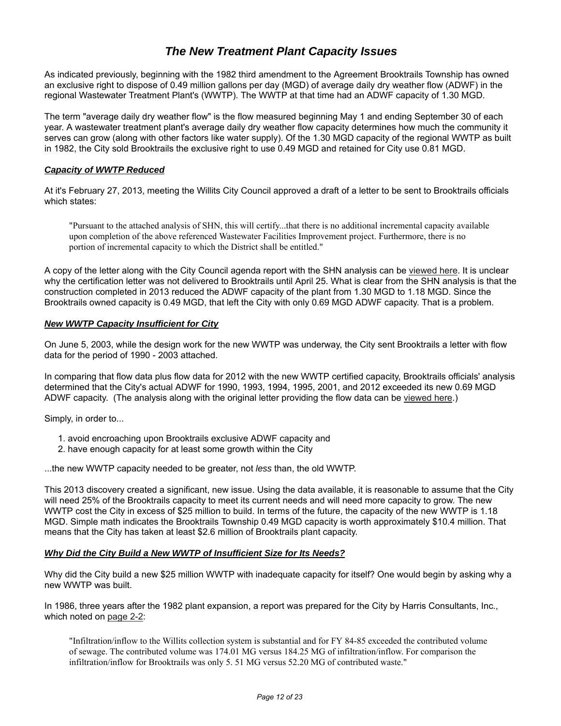# *The New Treatment Plant Capacity Issues*

As indicated previously, beginning with the 1982 third amendment to the Agreement Brooktrails Township has owned an exclusive right to dispose of 0.49 million gallons per day (MGD) of average daily dry weather flow (ADWF) in the regional Wastewater Treatment Plant's (WWTP). The WWTP at that time had an ADWF capacity of 1.30 MGD.

The term "average daily dry weather flow" is the flow measured beginning May 1 and ending September 30 of each year. A wastewater treatment plant's average daily dry weather flow capacity determines how much the community it serves can grow (along with other factors like water supply). Of the 1.30 MGD capacity of the regional WWTP as built in 1982, the City sold Brooktrails the exclusive right to use 0.49 MGD and retained for City use 0.81 MGD.

#### *Capacity of WWTP Reduced*

At it's February 27, 2013, meeting the Willits City Council approved a draft of a letter to be sent to Brooktrails officials which states:

"Pursuant to the attached analysis of SHN, this will certify...that there is no additional incremental capacity available upon completion of the above referenced Wastewater Facilities Improvement project. Furthermore, there is no portion of incremental capacity to which the District shall be entitled."

A copy of the letter along with the City Council agenda report with the SHN analysis can be viewed here. It is unclear why the certification letter was not delivered to Brooktrails until April 25. What is clear from the SHN analysis is that the construction completed in 2013 reduced the ADWF capacity of the plant from 1.30 MGD to 1.18 MGD. Since the Brooktrails owned capacity is 0.49 MGD, that left the City with only 0.69 MGD ADWF capacity. That is a problem.

#### *New WWTP Capacity Insufficient for City*

On June 5, 2003, while the design work for the new WWTP was underway, the City sent Brooktrails a letter with flow data for the period of 1990 - 2003 attached.

In comparing that flow data plus flow data for 2012 with the new WWTP certified capacity, Brooktrails officials' analysis determined that the City's actual ADWF for 1990, 1993, 1994, 1995, 2001, and 2012 exceeded its new 0.69 MGD ADWF capacity. (The analysis along with the original letter providing the flow data can be viewed here.)

Simply, in order to...

- 1. avoid encroaching upon Brooktrails exclusive ADWF capacity and
- 2. have enough capacity for at least some growth within the City

...the new WWTP capacity needed to be greater, not *less* than, the old WWTP.

This 2013 discovery created a significant, new issue. Using the data available, it is reasonable to assume that the City will need 25% of the Brooktrails capacity to meet its current needs and will need more capacity to grow. The new WWTP cost the City in excess of \$25 million to build. In terms of the future, the capacity of the new WWTP is 1.18 MGD. Simple math indicates the Brooktrails Township 0.49 MGD capacity is worth approximately \$10.4 million. That means that the City has taken at least \$2.6 million of Brooktrails plant capacity.

#### *Why Did the City Build a New WWTP of Insufficient Size for Its Needs?*

Why did the City build a new \$25 million WWTP with inadequate capacity for itself? One would begin by asking why a new WWTP was built.

In 1986, three years after the 1982 plant expansion, a report was prepared for the City by Harris Consultants, Inc., which noted on page 2-2:

"Infiltration/inflow to the Willits collection system is substantial and for FY 84-85 exceeded the contributed volume of sewage. The contributed volume was 174.01 MG versus 184.25 MG of infiltration/inflow. For comparison the infiltration/inflow for Brooktrails was only 5. 51 MG versus 52.20 MG of contributed waste."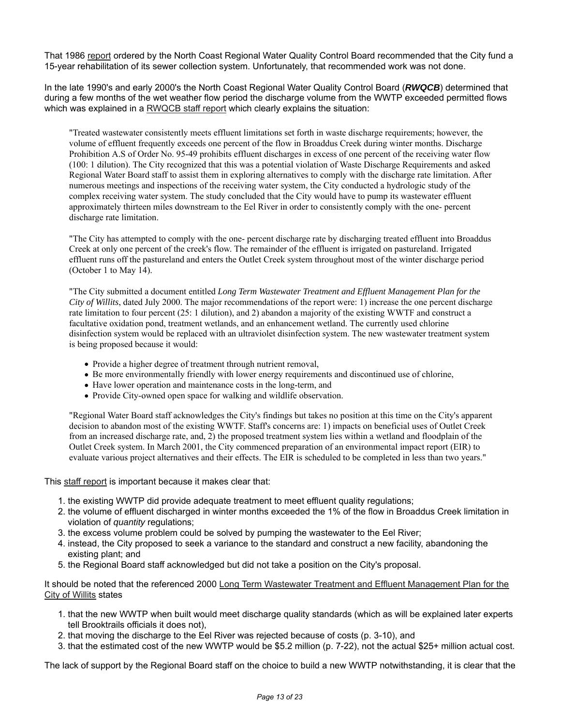That 1986 report ordered by the North Coast Regional Water Quality Control Board recommended that the City fund a 15-year rehabilitation of its sewer collection system. Unfortunately, that recommended work was not done.

In the late 1990's and early 2000's the North Coast Regional Water Quality Control Board (*RWQCB*) determined that during a few months of the wet weather flow period the discharge volume from the WWTP exceeded permitted flows which was explained in a RWQCB staff report which clearly explains the situation:

"Treated wastewater consistently meets effluent limitations set forth in waste discharge requirements; however, the volume of effluent frequently exceeds one percent of the flow in Broaddus Creek during winter months. Discharge Prohibition A.S of Order No. 95-49 prohibits effluent discharges in excess of one percent of the receiving water flow (100: 1 dilution). The City recognized that this was a potential violation of Waste Discharge Requirements and asked Regional Water Board staff to assist them in exploring alternatives to comply with the discharge rate limitation. After numerous meetings and inspections of the receiving water system, the City conducted a hydrologic study of the complex receiving water system. The study concluded that the City would have to pump its wastewater effluent approximately thirteen miles downstream to the Eel River in order to consistently comply with the one- percent discharge rate limitation.

"The City has attempted to comply with the one- percent discharge rate by discharging treated effluent into Broaddus Creek at only one percent of the creek's flow. The remainder of the effluent is irrigated on pastureland. Irrigated effluent runs off the pastureland and enters the Outlet Creek system throughout most of the winter discharge period (October 1 to May 14).

"The City submitted a document entitled *Long Term Wastewater Treatment and Effluent Management Plan for the City of Willits*, dated July 2000. The major recommendations of the report were: 1) increase the one percent discharge rate limitation to four percent (25: 1 dilution), and 2) abandon a majority of the existing WWTF and construct a facultative oxidation pond, treatment wetlands, and an enhancement wetland. The currently used chlorine disinfection system would be replaced with an ultraviolet disinfection system. The new wastewater treatment system is being proposed because it would:

- Provide a higher degree of treatment through nutrient removal,
- Be more environmentally friendly with lower energy requirements and discontinued use of chlorine,
- Have lower operation and maintenance costs in the long-term, and
- Provide City-owned open space for walking and wildlife observation.

"Regional Water Board staff acknowledges the City's findings but takes no position at this time on the City's apparent decision to abandon most of the existing WWTF. Staff's concerns are: 1) impacts on beneficial uses of Outlet Creek from an increased discharge rate, and, 2) the proposed treatment system lies within a wetland and floodplain of the Outlet Creek system. In March 2001, the City commenced preparation of an environmental impact report (EIR) to evaluate various project alternatives and their effects. The EIR is scheduled to be completed in less than two years."

This staff report is important because it makes clear that:

- 1. the existing WWTP did provide adequate treatment to meet effluent quality regulations;
- 2. the volume of effluent discharged in winter months exceeded the 1% of the flow in Broaddus Creek limitation in violation of *quantity* regulations;
- 3. the excess volume problem could be solved by pumping the wastewater to the Eel River;
- 4. instead, the City proposed to seek a variance to the standard and construct a new facility, abandoning the existing plant; and
- 5. the Regional Board staff acknowledged but did not take a position on the City's proposal.

It should be noted that the referenced 2000 Long Term Wastewater Treatment and Effluent Management Plan for the City of Willits states

- 1. that the new WWTP when built would meet discharge quality standards (which as will be explained later experts tell Brooktrails officials it does not),
- 2. that moving the discharge to the Eel River was rejected because of costs (p. 3-10), and
- 3. that the estimated cost of the new WWTP would be \$5.2 million (p. 7-22), not the actual \$25+ million actual cost.

The lack of support by the Regional Board staff on the choice to build a new WWTP notwithstanding, it is clear that the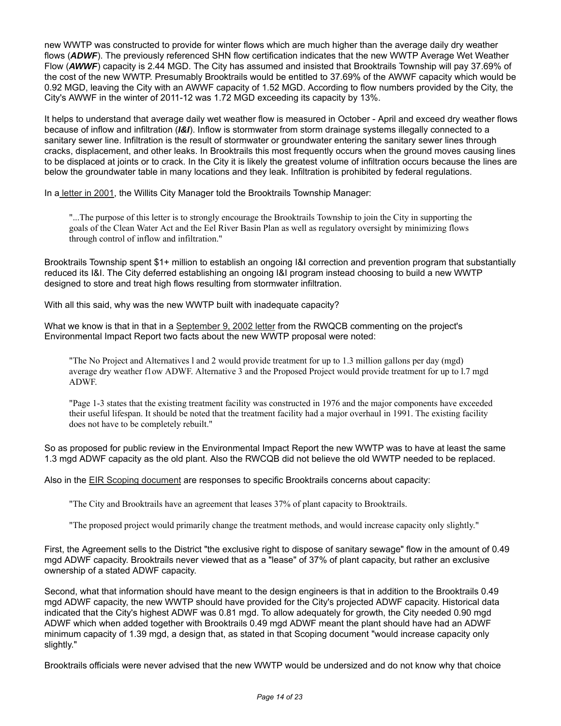new WWTP was constructed to provide for winter flows which are much higher than the average daily dry weather flows (*ADWF*). The previously referenced SHN flow certification indicates that the new WWTP Average Wet Weather Flow (*AWWF*) capacity is 2.44 MGD. The City has assumed and insisted that Brooktrails Township will pay 37.69% of the cost of the new WWTP. Presumably Brooktrails would be entitled to 37.69% of the AWWF capacity which would be 0.92 MGD, leaving the City with an AWWF capacity of 1.52 MGD. According to flow numbers provided by the City, the City's AWWF in the winter of 2011-12 was 1.72 MGD exceeding its capacity by 13%.

It helps to understand that average daily wet weather flow is measured in October - April and exceed dry weather flows because of inflow and infiltration (*I&I*). Inflow is stormwater from storm drainage systems illegally connected to a sanitary sewer line. Infiltration is the result of stormwater or groundwater entering the sanitary sewer lines through cracks, displacement, and other leaks. In Brooktrails this most frequently occurs when the ground moves causing lines to be displaced at joints or to crack. In the City it is likely the greatest volume of infiltration occurs because the lines are below the groundwater table in many locations and they leak. Infiltration is prohibited by federal regulations.

In a letter in 2001, the Willits City Manager told the Brooktrails Township Manager:

"...The purpose of this letter is to strongly encourage the Brooktrails Township to join the City in supporting the goals of the Clean Water Act and the Eel River Basin Plan as well as regulatory oversight by minimizing flows through control of inflow and infiltration."

Brooktrails Township spent \$1+ million to establish an ongoing I&I correction and prevention program that substantially reduced its I&I. The City deferred establishing an ongoing I&I program instead choosing to build a new WWTP designed to store and treat high flows resulting from stormwater infiltration.

With all this said, why was the new WWTP built with inadequate capacity?

What we know is that in that in a September 9, 2002 letter from the RWQCB commenting on the project's Environmental Impact Report two facts about the new WWTP proposal were noted:

"The No Project and Alternatives l and 2 would provide treatment for up to 1.3 million gallons per day (mgd) average dry weather f1ow ADWF. Alternative 3 and the Proposed Project would provide treatment for up to l.7 mgd ADWF.

"Page 1-3 states that the existing treatment facility was constructed in 1976 and the major components have exceeded their useful lifespan. It should be noted that the treatment facility had a major overhaul in 1991. The existing facility does not have to be completely rebuilt."

So as proposed for public review in the Environmental Impact Report the new WWTP was to have at least the same 1.3 mgd ADWF capacity as the old plant. Also the RWCQB did not believe the old WWTP needed to be replaced.

Also in the EIR Scoping document are responses to specific Brooktrails concerns about capacity:

"The City and Brooktrails have an agreement that leases 37% of plant capacity to Brooktrails.

"The proposed project would primarily change the treatment methods, and would increase capacity only slightly."

First, the Agreement sells to the District "the exclusive right to dispose of sanitary sewage" flow in the amount of 0.49 mgd ADWF capacity. Brooktrails never viewed that as a "lease" of 37% of plant capacity, but rather an exclusive ownership of a stated ADWF capacity.

Second, what that information should have meant to the design engineers is that in addition to the Brooktrails 0.49 mgd ADWF capacity, the new WWTP should have provided for the City's projected ADWF capacity. Historical data indicated that the City's highest ADWF was 0.81 mgd. To allow adequately for growth, the City needed 0.90 mgd ADWF which when added together with Brooktrails 0.49 mgd ADWF meant the plant should have had an ADWF minimum capacity of 1.39 mgd, a design that, as stated in that Scoping document "would increase capacity only slightly."

Brooktrails officials were never advised that the new WWTP would be undersized and do not know why that choice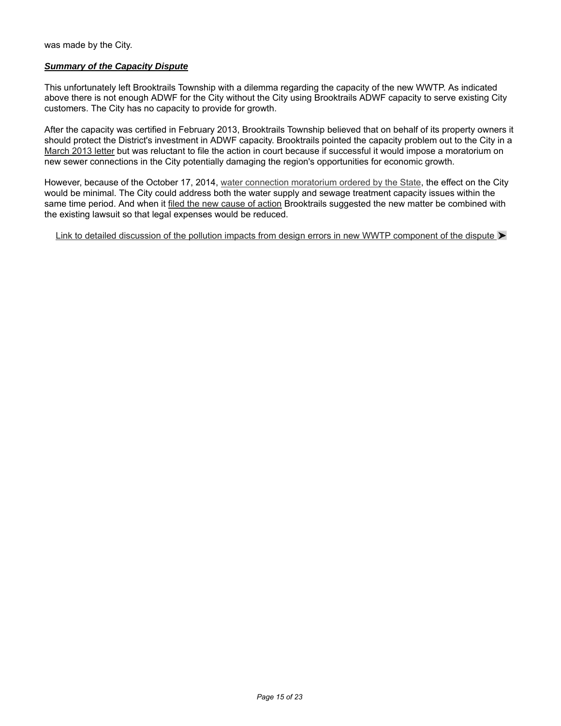was made by the City.

### *Summary of the Capacity Dispute*

This unfortunately left Brooktrails Township with a dilemma regarding the capacity of the new WWTP. As indicated above there is not enough ADWF for the City without the City using Brooktrails ADWF capacity to serve existing City customers. The City has no capacity to provide for growth.

After the capacity was certified in February 2013, Brooktrails Township believed that on behalf of its property owners it should protect the District's investment in ADWF capacity. Brooktrails pointed the capacity problem out to the City in a March 2013 letter but was reluctant to file the action in court because if successful it would impose a moratorium on new sewer connections in the City potentially damaging the region's opportunities for economic growth.

However, because of the October 17, 2014, water connection moratorium ordered by the State, the effect on the City would be minimal. The City could address both the water supply and sewage treatment capacity issues within the same time period. And when it filed the new cause of action Brooktrails suggested the new matter be combined with the existing lawsuit so that legal expenses would be reduced.

Link to detailed discussion of the pollution impacts from design errors in new WWTP component of the dispute  $\blacktriangleright$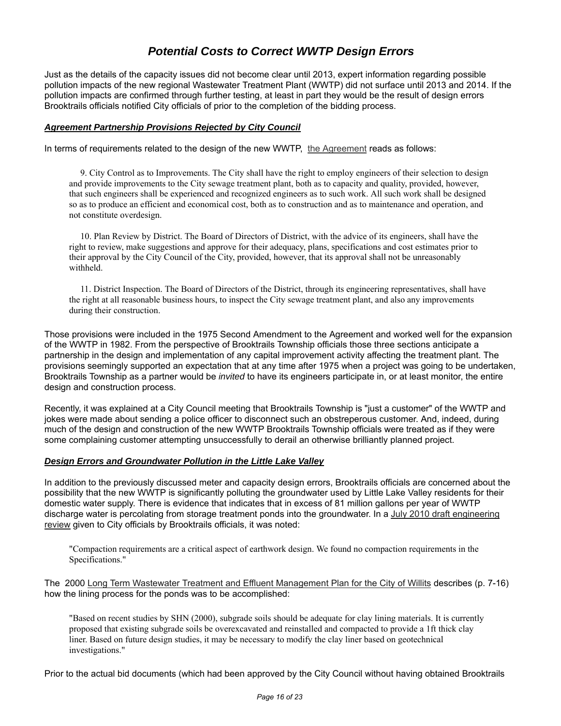# *Potential Costs to Correct WWTP Design Errors*

Just as the details of the capacity issues did not become clear until 2013, expert information regarding possible pollution impacts of the new regional Wastewater Treatment Plant (WWTP) did not surface until 2013 and 2014. If the pollution impacts are confirmed through further testing, at least in part they would be the result of design errors Brooktrails officials notified City officials of prior to the completion of the bidding process.

#### *Agreement Partnership Provisions Rejected by City Council*

In terms of requirements related to the design of the new WWTP, the Agreement reads as follows:

 9. City Control as to Improvements. The City shall have the right to employ engineers of their selection to design and provide improvements to the City sewage treatment plant, both as to capacity and quality, provided, however, that such engineers shall be experienced and recognized engineers as to such work. All such work shall be designed so as to produce an efficient and economical cost, both as to construction and as to maintenance and operation, and not constitute overdesign.

 10. Plan Review by District. The Board of Directors of District, with the advice of its engineers, shall have the right to review, make suggestions and approve for their adequacy, plans, specifications and cost estimates prior to their approval by the City Council of the City, provided, however, that its approval shall not be unreasonably withheld.

 11. District Inspection. The Board of Directors of the District, through its engineering representatives, shall have the right at all reasonable business hours, to inspect the City sewage treatment plant, and also any improvements during their construction.

Those provisions were included in the 1975 Second Amendment to the Agreement and worked well for the expansion of the WWTP in 1982. From the perspective of Brooktrails Township officials those three sections anticipate a partnership in the design and implementation of any capital improvement activity affecting the treatment plant. The provisions seemingly supported an expectation that at any time after 1975 when a project was going to be undertaken, Brooktrails Township as a partner would be *invited* to have its engineers participate in, or at least monitor, the entire design and construction process.

Recently, it was explained at a City Council meeting that Brooktrails Township is "just a customer" of the WWTP and jokes were made about sending a police officer to disconnect such an obstreperous customer. And, indeed, during much of the design and construction of the new WWTP Brooktrails Township officials were treated as if they were some complaining customer attempting unsuccessfully to derail an otherwise brilliantly planned project.

#### *Design Errors and Groundwater Pollution in the Little Lake Valley*

In addition to the previously discussed meter and capacity design errors, Brooktrails officials are concerned about the possibility that the new WWTP is significantly polluting the groundwater used by Little Lake Valley residents for their domestic water supply. There is evidence that indicates that in excess of 81 million gallons per year of WWTP discharge water is percolating from storage treatment ponds into the groundwater. In a July 2010 draft engineering review given to City officials by Brooktrails officials, it was noted:

"Compaction requirements are a critical aspect of earthwork design. We found no compaction requirements in the Specifications."

The 2000 Long Term Wastewater Treatment and Effluent Management Plan for the City of Willits describes (p. 7-16) how the lining process for the ponds was to be accomplished:

"Based on recent studies by SHN (2000), subgrade soils should be adequate for clay lining materials. It is currently proposed that existing subgrade soils be overexcavated and reinstalled and compacted to provide a 1ft thick clay liner. Based on future design studies, it may be necessary to modify the clay liner based on geotechnical investigations."

Prior to the actual bid documents (which had been approved by the City Council without having obtained Brooktrails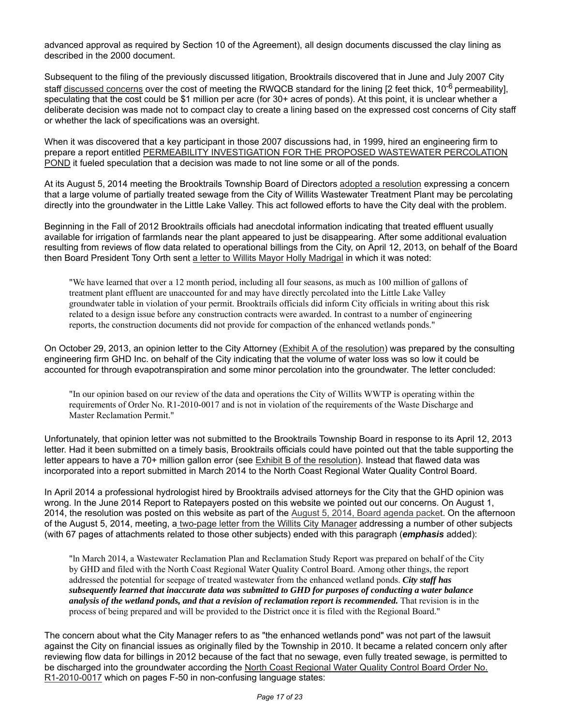advanced approval as required by Section 10 of the Agreement), all design documents discussed the clay lining as described in the 2000 document.

Subsequent to the filing of the previously discussed litigation, Brooktrails discovered that in June and July 2007 City staff discussed concerns over the cost of meeting the RWQCB standard for the lining  $[2 \text{ feet thick}, 10^{-6} \text{ permeability}]$ , speculating that the cost could be \$1 million per acre (for 30+ acres of ponds). At this point, it is unclear whether a deliberate decision was made not to compact clay to create a lining based on the expressed cost concerns of City staff or whether the lack of specifications was an oversight.

When it was discovered that a key participant in those 2007 discussions had, in 1999, hired an engineering firm to prepare a report entitled PERMEABILITY INVESTIGATION FOR THE PROPOSED WASTEWATER PERCOLATION POND it fueled speculation that a decision was made to not line some or all of the ponds.

At its August 5, 2014 meeting the Brooktrails Township Board of Directors adopted a resolution expressing a concern that a large volume of partially treated sewage from the City of Willits Wastewater Treatment Plant may be percolating directly into the groundwater in the Little Lake Valley. This act followed efforts to have the City deal with the problem.

Beginning in the Fall of 2012 Brooktrails officials had anecdotal information indicating that treated effluent usually available for irrigation of farmlands near the plant appeared to just be disappearing. After some additional evaluation resulting from reviews of flow data related to operational billings from the City, on April 12, 2013, on behalf of the Board then Board President Tony Orth sent a letter to Willits Mayor Holly Madrigal in which it was noted:

"We have learned that over a 12 month period, including all four seasons, as much as 100 million of gallons of treatment plant effluent are unaccounted for and may have directly percolated into the Little Lake Valley groundwater table in violation of your permit. Brooktrails officials did inform City officials in writing about this risk related to a design issue before any construction contracts were awarded. In contrast to a number of engineering reports, the construction documents did not provide for compaction of the enhanced wetlands ponds."

On October 29, 2013, an opinion letter to the City Attorney (Exhibit A of the resolution) was prepared by the consulting engineering firm GHD Inc. on behalf of the City indicating that the volume of water loss was so low it could be accounted for through evapotranspiration and some minor percolation into the groundwater. The letter concluded:

"In our opinion based on our review of the data and operations the City of Willits WWTP is operating within the requirements of Order No. R1-2010-0017 and is not in violation of the requirements of the Waste Discharge and Master Reclamation Permit."

Unfortunately, that opinion letter was not submitted to the Brooktrails Township Board in response to its April 12, 2013 letter. Had it been submitted on a timely basis, Brooktrails officials could have pointed out that the table supporting the letter appears to have a 70+ million gallon error (see Exhibit B of the resolution). Instead that flawed data was incorporated into a report submitted in March 2014 to the North Coast Regional Water Quality Control Board.

In April 2014 a professional hydrologist hired by Brooktrails advised attorneys for the City that the GHD opinion was wrong. In the June 2014 Report to Ratepayers posted on this website we pointed out our concerns. On August 1, 2014, the resolution was posted on this website as part of the August 5, 2014, Board agenda packet. On the afternoon of the August 5, 2014, meeting, a two-page letter from the Willits City Manager addressing a number of other subjects (with 67 pages of attachments related to those other subjects) ended with this paragraph (*emphasis* added):

"ln March 2014, a Wastewater Reclamation Plan and Reclamation Study Report was prepared on behalf of the City by GHD and filed with the North Coast Regional Water Quality Control Board. Among other things, the report addressed the potential for seepage of treated wastewater from the enhanced wetland ponds. *City staff has subsequently learned that inaccurate data was submitted to GHD for purposes of conducting a water balance analysis of the wetland ponds, and that a revision of reclamation report is recommended.* That revision is in the process of being prepared and will be provided to the District once it is filed with the Regional Board."

The concern about what the City Manager refers to as "the enhanced wetlands pond" was not part of the lawsuit against the City on financial issues as originally filed by the Township in 2010. It became a related concern only after reviewing flow data for billings in 2012 because of the fact that no sewage, even fully treated sewage, is permitted to be discharged into the groundwater according the North Coast Regional Water Quality Control Board Order No. R1-2010-0017 which on pages F-50 in non-confusing language states: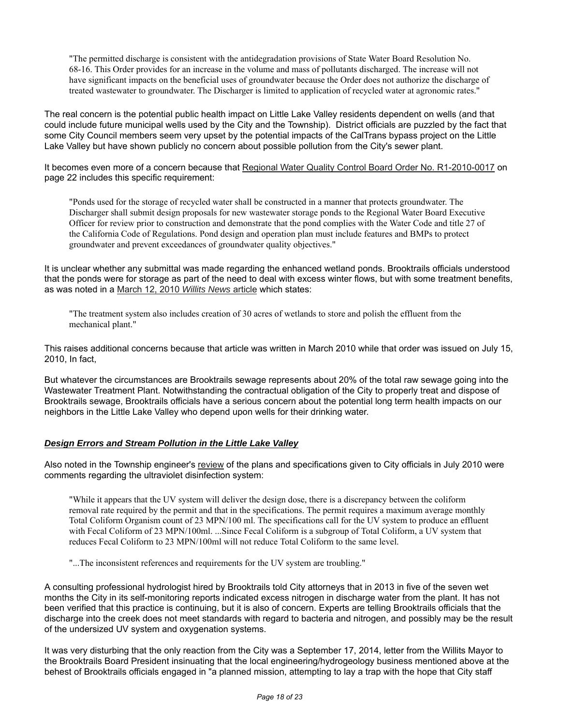"The permitted discharge is consistent with the antidegradation provisions of State Water Board Resolution No. 68-16. This Order provides for an increase in the volume and mass of pollutants discharged. The increase will not have significant impacts on the beneficial uses of groundwater because the Order does not authorize the discharge of treated wastewater to groundwater. The Discharger is limited to application of recycled water at agronomic rates."

The real concern is the potential public health impact on Little Lake Valley residents dependent on wells (and that could include future municipal wells used by the City and the Township). District officials are puzzled by the fact that some City Council members seem very upset by the potential impacts of the CalTrans bypass project on the Little Lake Valley but have shown publicly no concern about possible pollution from the City's sewer plant.

It becomes even more of a concern because that Regional Water Quality Control Board Order No. R1-2010-0017 on page 22 includes this specific requirement:

"Ponds used for the storage of recycled water shall be constructed in a manner that protects groundwater. The Discharger shall submit design proposals for new wastewater storage ponds to the Regional Water Board Executive Officer for review prior to construction and demonstrate that the pond complies with the Water Code and title 27 of the California Code of Regulations. Pond design and operation plan must include features and BMPs to protect groundwater and prevent exceedances of groundwater quality objectives."

It is unclear whether any submittal was made regarding the enhanced wetland ponds. Brooktrails officials understood that the ponds were for storage as part of the need to deal with excess winter flows, but with some treatment benefits, as was noted in a March 12, 2010 *Willits News* article which states:

"The treatment system also includes creation of 30 acres of wetlands to store and polish the effluent from the mechanical plant."

This raises additional concerns because that article was written in March 2010 while that order was issued on July 15, 2010, In fact,

But whatever the circumstances are Brooktrails sewage represents about 20% of the total raw sewage going into the Wastewater Treatment Plant. Notwithstanding the contractual obligation of the City to properly treat and dispose of Brooktrails sewage, Brooktrails officials have a serious concern about the potential long term health impacts on our neighbors in the Little Lake Valley who depend upon wells for their drinking water.

### *Design Errors and Stream Pollution in the Little Lake Valley*

Also noted in the Township engineer's review of the plans and specifications given to City officials in July 2010 were comments regarding the ultraviolet disinfection system:

"While it appears that the UV system will deliver the design dose, there is a discrepancy between the coliform removal rate required by the permit and that in the specifications. The permit requires a maximum average monthly Total Coliform Organism count of 23 MPN/100 ml. The specifications call for the UV system to produce an effluent with Fecal Coliform of 23 MPN/100ml. ...Since Fecal Coliform is a subgroup of Total Coliform, a UV system that reduces Fecal Coliform to 23 MPN/100ml will not reduce Total Coliform to the same level.

"...The inconsistent references and requirements for the UV system are troubling."

A consulting professional hydrologist hired by Brooktrails told City attorneys that in 2013 in five of the seven wet months the City in its self-monitoring reports indicated excess nitrogen in discharge water from the plant. It has not been verified that this practice is continuing, but it is also of concern. Experts are telling Brooktrails officials that the discharge into the creek does not meet standards with regard to bacteria and nitrogen, and possibly may be the result of the undersized UV system and oxygenation systems.

It was very disturbing that the only reaction from the City was a September 17, 2014, letter from the Willits Mayor to the Brooktrails Board President insinuating that the local engineering/hydrogeology business mentioned above at the behest of Brooktrails officials engaged in "a planned mission, attempting to lay a trap with the hope that City staff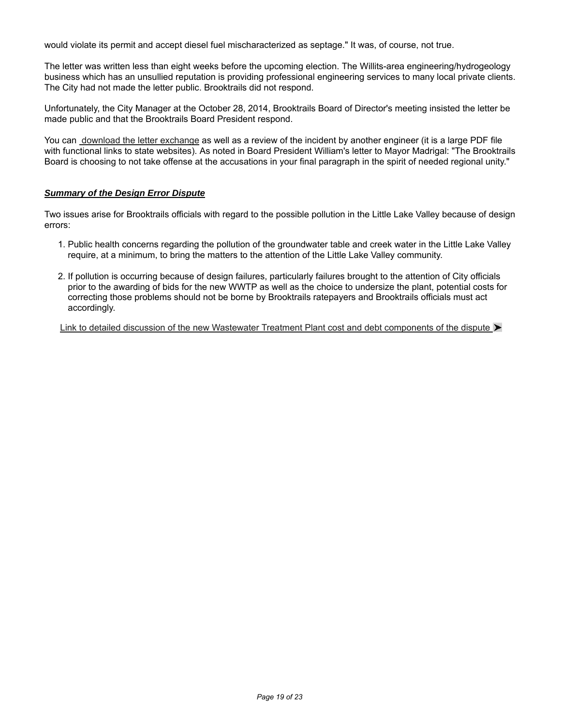would violate its permit and accept diesel fuel mischaracterized as septage." It was, of course, not true.

The letter was written less than eight weeks before the upcoming election. The Willits-area engineering/hydrogeology business which has an unsullied reputation is providing professional engineering services to many local private clients. The City had not made the letter public. Brooktrails did not respond.

Unfortunately, the City Manager at the October 28, 2014, Brooktrails Board of Director's meeting insisted the letter be made public and that the Brooktrails Board President respond.

You can download the letter exchange as well as a review of the incident by another engineer (it is a large PDF file with functional links to state websites). As noted in Board President William's letter to Mayor Madrigal: "The Brooktrails Board is choosing to not take offense at the accusations in your final paragraph in the spirit of needed regional unity."

#### *Summary of the Design Error Dispute*

Two issues arise for Brooktrails officials with regard to the possible pollution in the Little Lake Valley because of design errors:

- 1. Public health concerns regarding the pollution of the groundwater table and creek water in the Little Lake Valley require, at a minimum, to bring the matters to the attention of the Little Lake Valley community.
- 2. If pollution is occurring because of design failures, particularly failures brought to the attention of City officials prior to the awarding of bids for the new WWTP as well as the choice to undersize the plant, potential costs for correcting those problems should not be borne by Brooktrails ratepayers and Brooktrails officials must act accordingly.

Link to detailed discussion of the new Wastewater Treatment Plant cost and debt components of the dispute  $\blacktriangleright$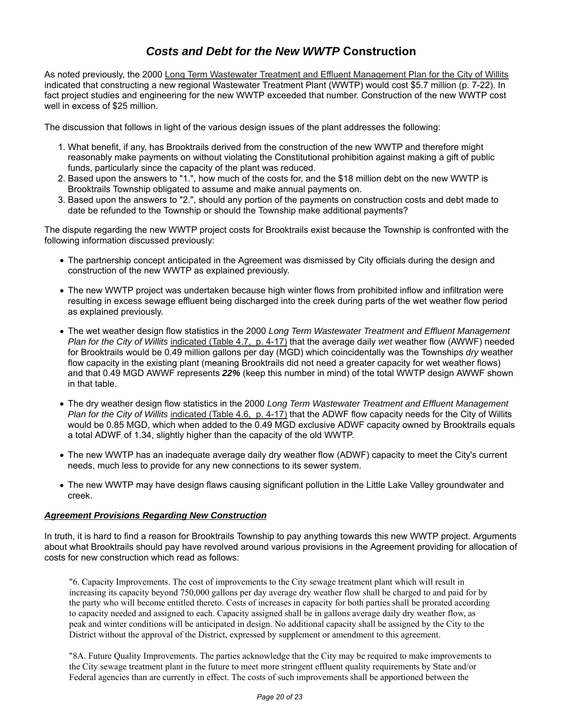# *Costs and Debt for the New WWTP* **Construction**

As noted previously, the 2000 Long Term Wastewater Treatment and Effluent Management Plan for the City of Willits indicated that constructing a new regional Wastewater Treatment Plant (WWTP) would cost \$5.7 million (p. 7-22). In fact project studies and engineering for the new WWTP exceeded that number. Construction of the new WWTP cost well in excess of \$25 million.

The discussion that follows in light of the various design issues of the plant addresses the following:

- 1. What benefit, if any, has Brooktrails derived from the construction of the new WWTP and therefore might reasonably make payments on without violating the Constitutional prohibition against making a gift of public funds, particularly since the capacity of the plant was reduced.
- 2. Based upon the answers to "1.", how much of the costs for, and the \$18 million debt on the new WWTP is Brooktrails Township obligated to assume and make annual payments on.
- 3. Based upon the answers to "2.", should any portion of the payments on construction costs and debt made to date be refunded to the Township or should the Township make additional payments?

The dispute regarding the new WWTP project costs for Brooktrails exist because the Township is confronted with the following information discussed previously:

- The partnership concept anticipated in the Agreement was dismissed by City officials during the design and construction of the new WWTP as explained previously.
- The new WWTP project was undertaken because high winter flows from prohibited inflow and infiltration were resulting in excess sewage effluent being discharged into the creek during parts of the wet weather flow period as explained previously.
- The wet weather design flow statistics in the 2000 *Long Term Wastewater Treatment and Effluent Management Plan for the City of Willits* indicated (Table 4.7, p. 4-17) that the average daily *wet* weather flow (AWWF) needed for Brooktrails would be 0.49 million gallons per day (MGD) which coincidentally was the Townships *dry* weather flow capacity in the existing plant (meaning Brooktrails did not need a greater capacity for wet weather flows) and that 0.49 MGD AWWF represents *22%* (keep this number in mind) of the total WWTP design AWWF shown in that table.
- The dry weather design flow statistics in the 2000 *Long Term Wastewater Treatment and Effluent Management Plan for the City of Willits* indicated (Table 4.6, p. 4-17) that the ADWF flow capacity needs for the City of Willits would be 0.85 MGD, which when added to the 0.49 MGD exclusive ADWF capacity owned by Brooktrails equals a total ADWF of 1.34, slightly higher than the capacity of the old WWTP.
- The new WWTP has an inadequate average daily dry weather flow (ADWF) capacity to meet the City's current needs, much less to provide for any new connections to its sewer system.
- The new WWTP may have design flaws causing significant pollution in the Little Lake Valley groundwater and creek.

#### *Agreement Provisions Regarding New Construction*

In truth, it is hard to find a reason for Brooktrails Township to pay anything towards this new WWTP project. Arguments about what Brooktrails should pay have revolved around various provisions in the Agreement providing for allocation of costs for new construction which read as follows:

"6. Capacity Improvements. The cost of improvements to the City sewage treatment plant which will result in increasing its capacity beyond 750,000 gallons per day average dry weather flow shall be charged to and paid for by the party who will become entitled thereto. Costs of increases in capacity for both parties shall be prorated according to capacity needed and assigned to each. Capacity assigned shall be in gallons average daily dry weather flow, as peak and winter conditions will be anticipated in design. No additional capacity shall be assigned by the City to the District without the approval of the District, expressed by supplement or amendment to this agreement.

"8A. Future Quality Improvements. The parties acknowledge that the City may be required to make improvements to the City sewage treatment plant in the future to meet more stringent effluent quality requirements by State and/or Federal agencies than are currently in effect. The costs of such improvements shall be apportioned between the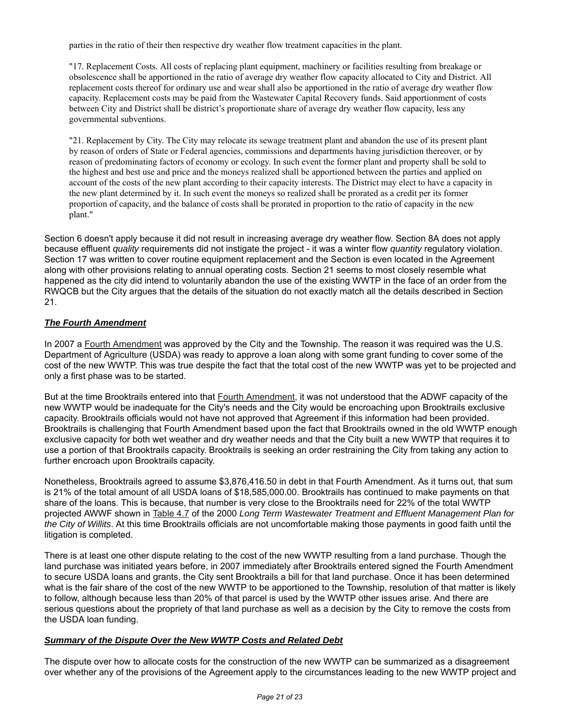parties in the ratio of their then respective dry weather flow treatment capacities in the plant.

"17. Replacement Costs. All costs of replacing plant equipment, machinery or facilities resulting from breakage or obsolescence shall be apportioned in the ratio of average dry weather flow capacity allocated to City and District. All replacement costs thereof for ordinary use and wear shall also be apportioned in the ratio of average dry weather flow capacity. Replacement costs may be paid from the Wastewater Capital Recovery funds. Said apportionment of costs between City and District shall be district's proportionate share of average dry weather flow capacity, less any governmental subventions.

"21. Replacement by City. The City may relocate its sewage treatment plant and abandon the use of its present plant by reason of orders of State or Federal agencies, commissions and departments having jurisdiction thereover, or by reason of predominating factors of economy or ecology. In such event the former plant and property shall be sold to the highest and best use and price and the moneys realized shall be apportioned between the parties and applied on account of the costs of the new plant according to their capacity interests. The District may elect to have a capacity in the new plant determined by it. In such event the moneys so realized shall be prorated as a credit per its former proportion of capacity, and the balance of costs shall be prorated in proportion to the ratio of capacity in the new plant."

Section 6 doesn't apply because it did not result in increasing average dry weather flow. Section 8A does not apply because effluent *quality* requirements did not instigate the project - it was a winter flow *quantity* regulatory violation. Section 17 was written to cover routine equipment replacement and the Section is even located in the Agreement along with other provisions relating to annual operating costs. Section 21 seems to most closely resemble what happened as the city did intend to voluntarily abandon the use of the existing WWTP in the face of an order from the RWQCB but the City argues that the details of the situation do not exactly match all the details described in Section 21.

## *The Fourth Amendment*

In 2007 a Fourth Amendment was approved by the City and the Township. The reason it was required was the U.S. Department of Agriculture (USDA) was ready to approve a loan along with some grant funding to cover some of the cost of the new WWTP. This was true despite the fact that the total cost of the new WWTP was yet to be projected and only a first phase was to be started.

But at the time Brooktrails entered into that Fourth Amendment, it was not understood that the ADWF capacity of the new WWTP would be inadequate for the City's needs and the City would be encroaching upon Brooktrails exclusive capacity. Brooktrails officials would not have not approved that Agreement if this information had been provided. Brooktrails is challenging that Fourth Amendment based upon the fact that Brooktrails owned in the old WWTP enough exclusive capacity for both wet weather and dry weather needs and that the City built a new WWTP that requires it to use a portion of that Brooktrails capacity. Brooktrails is seeking an order restraining the City from taking any action to further encroach upon Brooktrails capacity.

Nonetheless, Brooktrails agreed to assume \$3,876,416.50 in debt in that Fourth Amendment. As it turns out, that sum is 21% of the total amount of all USDA loans of \$18,585,000.00. Brooktrails has continued to make payments on that share of the loans. This is because, that number is very close to the Brooktrails need for 22% of the total WWTP projected AWWF shown in Table 4.7 of the 2000 *Long Term Wastewater Treatment and Effluent Management Plan for the City of Willits*. At this time Brooktrails officials are not uncomfortable making those payments in good faith until the litigation is completed.

There is at least one other dispute relating to the cost of the new WWTP resulting from a land purchase. Though the land purchase was initiated years before, in 2007 immediately after Brooktrails entered signed the Fourth Amendment to secure USDA loans and grants, the City sent Brooktrails a bill for that land purchase. Once it has been determined what is the fair share of the cost of the new WWTP to be apportioned to the Township, resolution of that matter is likely to follow, although because less than 20% of that parcel is used by the WWTP other issues arise. And there are serious questions about the propriety of that land purchase as well as a decision by the City to remove the costs from the USDA loan funding.

### *Summary of the Dispute Over the New WWTP Costs and Related Debt*

The dispute over how to allocate costs for the construction of the new WWTP can be summarized as a disagreement over whether any of the provisions of the Agreement apply to the circumstances leading to the new WWTP project and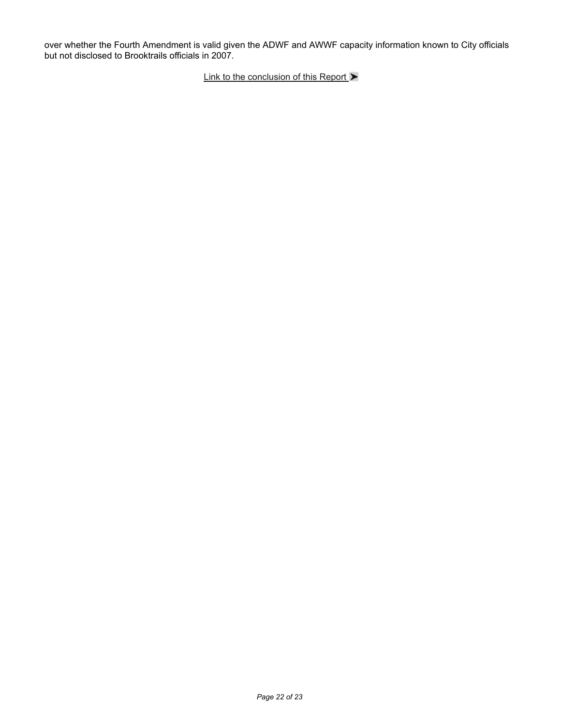over whether the Fourth Amendment is valid given the ADWF and AWWF capacity information known to City officials but not disclosed to Brooktrails officials in 2007.

Link to the conclusion of this Report  $\blacktriangleright$